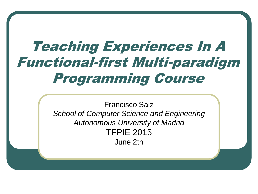# Teaching Experiences In A Functional-first Multi-paradigm Programming Course

Francisco Saiz *School of Computer Science and Engineering Autonomous University of Madrid* TFPIE 2015 June 2th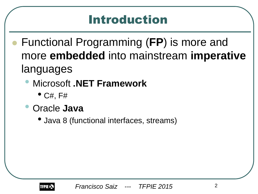## Introduction

- Functional Programming (**FP**) is more and more **embedded** into mainstream **imperative** languages
	- Microsoft **.NET Framework**
		- $\bullet$  C#, F#
	- Oracle **Java** 
		- Java 8 (functional interfaces, streams)

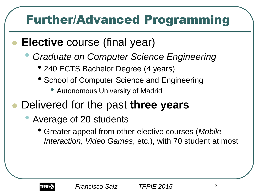## Further/Advanced Programming

- **Elective** course (final year)
	- *Graduate on Computer Science Engineering*
		- 240 ECTS Bachelor Degree (4 years)
		- School of Computer Science and Engineering
			- Autonomous University of Madrid
- Delivered for the past **three years**
	- Average of 20 students
		- Greater appeal from other elective courses (*Mobile Interaction, Video Games*, etc.), with 70 student at most

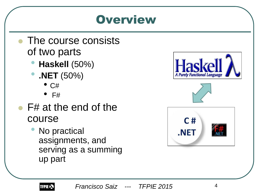### **Overview**

- The course consists of two parts
	- **Haskell** (50%)
	- **.NET** (50%)
		- $\bullet$  C#
		- F#
- F# at the end of the course
	- No practical assignments, and serving as a summing up part



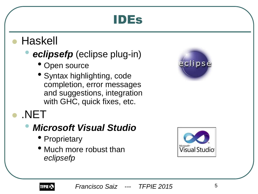### IDEs

#### Haskell

#### • *eclipsefp* (eclipse plug-in)

- Open source
- Syntax highlighting, code completion, error messages and suggestions, integration with GHC, quick fixes, etc.



#### .NET

#### • *Microsoft Visual Studio*

- Proprietary
- Much more robust than *eclipsefp*



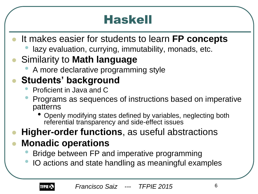## Haskell

- It makes easier for students to learn **FP concepts**
	- lazy evaluation, currying, immutability, monads, etc.

#### Similarity to **Math language**

• A more declarative programming style

#### **Students' background**

- Proficient in Java and C
- Programs as sequences of instructions based on imperative patterns
	- Openly modifying states defined by variables, neglecting both referential transparency and side-effect issues

#### **Higher-order functions**, as useful abstractions

#### **Monadic operations**

- Bridge between FP and imperative programming
- IO actions and state handling as meaningful examples

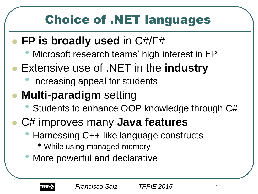## Choice of .NET languages

### **FP is broadly used** in C#/F#

- Microsoft research teams' high interest in FP
- Extensive use of .NET in the **industry**
	- Increasing appeal for students

### **Multi-paradigm** setting

- Students to enhance OOP knowledge through C#
- C# improves many **Java features**
	- Harnessing C++-like language constructs
		- While using managed memory
	- More powerful and declarative

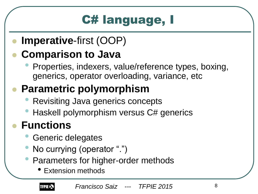# C# language, I

#### **Imperative**-first (OOP)

### **Comparison to Java**

• Properties, indexers, value/reference types, boxing, generics, operator overloading, variance, etc

### **Parametric polymorphism**

- Revisiting Java generics concepts
- Haskell polymorphism versus C# generics

### **Functions**

- Generic delegates
- No currying (operator ".")
- Parameters for higher-order methods
	- Extension methods

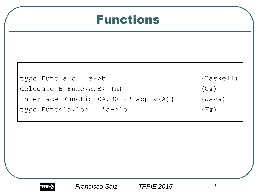#### Functions



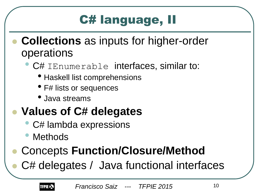## C# language, II

- **Collections** as inputs for higher-order operations
	- C# IEnumerable interfaces, similar to:
		- Haskell list comprehensions
		- F# lists or sequences
		- Java streams

### **Values of C# delegates**

- C# lambda expressions
- **Methods**

## Concepts **Function/Closure/Method**

C# delegates / Java functional interfaces

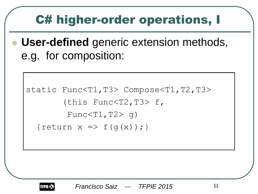## C# higher-order operations, I

 **User-defined** generic extension methods, e.g. for composition:

```
static Func<T1,T3> Compose<T1,T2,T3>
         (this Func<T2,T3> f, 
         Func < T1, T2 > q{return x \Rightarrow f(g(x));}
```
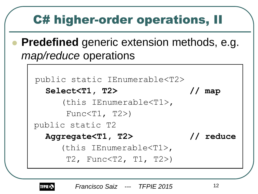## C# higher-order operations, II

 **Predefined** generic extension methods, e.g. *map/reduce* operations

```
public static IEnumerable<T2> 
   Select<T1, T2> // map
      (this IEnumerable<T1>, 
      Func\langle T1, T2 \ranglepublic static T2
   Aggregate<T1, T2> // reduce 
      (this IEnumerable<T1>, 
       T2, Func<T2, T1, T2>)
```
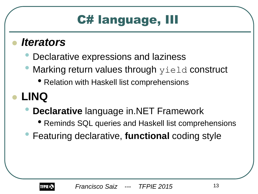## C# language, III

#### *Iterators*

- Declarative expressions and laziness
- Marking return values through  $y$ ield construct
	- Relation with Haskell list comprehensions
- **LINQ**
	- **Declarative** language in.NET Framework
		- Reminds SQL queries and Haskell list comprehensions
	- Featuring declarative, **functional** coding style

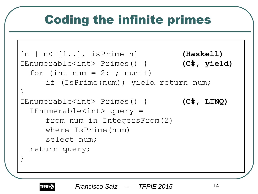## Coding the infinite primes

```
[n | n<-[1..], isPrime n] (Haskell)
IEnumerable<int> Primes() { (C#, yield)
 for (int num = 2; ; num++)
     if (IsPrime(num)) yield return num;
}
IEnumerable<int> Primes() { (C#, LINQ)
 IEnumerable<int> query =
     from num in IntegersFrom(2)
     where IsPrime(num)
     select num;
 return query;
}
```
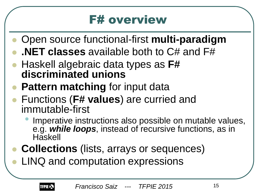### **F# overview**

- Open source functional-first **multi-paradigm**
- **.NET classes** available both to C# and F#
- Haskell algebraic data types as **F# discriminated unions**
- **Pattern matching** for input data
- Functions (**F# values**) are curried and immutable-first
	- Imperative instructions also possible on mutable values, e.g. *while loops*, instead of recursive functions, as in **Haskell**
- **Collections** (lists, arrays or sequences)
- LINQ and computation expressions

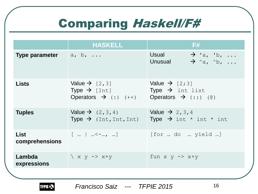## Comparing Haskell/F#

|                               | <b>HASKELL</b>                                                                                                             | F#                                                                                                   |
|-------------------------------|----------------------------------------------------------------------------------------------------------------------------|------------------------------------------------------------------------------------------------------|
| <b>Type parameter</b>         | $a, b, \ldots$                                                                                                             | Usual<br>$\rightarrow$ 'a, 'b,<br>$\rightarrow$ ^a, ^b,<br>Unusual                                   |
| <b>Lists</b>                  | Value $\rightarrow$ [2,3]<br>Type $\rightarrow$ [Int]<br>Operators $\rightarrow$ (:) (++) Operators $\rightarrow$ (::) (@) | Value $\rightarrow$ [2;3]<br>Type $\rightarrow$ int list                                             |
| <b>Tuples</b>                 | Value $\rightarrow$ (2, 3, 4)                                                                                              | Value $\rightarrow$ 2, 3, 4<br>Type $\rightarrow$ (Int, Int, Int) Type $\rightarrow$ int * int * int |
| <b>List</b><br>comprehensions | $[$ $]$ $\leq -$ , ]                                                                                                       | [for  do  yield ]                                                                                    |
| Lambda<br>expressions         | $\chi$ x y -> x+y                                                                                                          | fun $x \ y \rightarrow x+y$                                                                          |
|                               |                                                                                                                            |                                                                                                      |

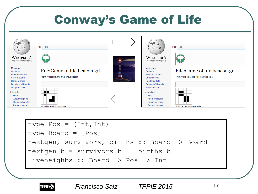## Conway's Game of Life



type Pos = (Int,Int) type Board = [Pos] nextgen, survivors, births :: Board -> Board nextgen b = survivors b ++ births b liveneighbs :: Board -> Pos -> Int



*Francisco Saiz* 17 *--- TFPIE 2015*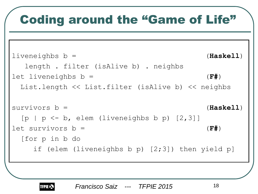## Coding around the "Game of Life"

```
liveneighbs b = (Haskell)
   length . filter (isAlive b) . neighbs
let liveneighbs b = (F#)
  List.length << List.filter (isAlive b) << neighbs
survivors b = (Haskell)
 [p \mid p \le -b, elem (liveneighbs b p) [2,3]]
let survivors b = (F#)
  [for p in b do 
    if (elem (liveneighbs b p) [2;3]) then yield p]
```
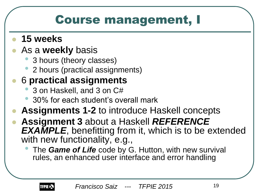### Course management, I

- **15 weeks**
- As a **weekly** basis
	- 3 hours (theory classes)
	- 2 hours (practical assignments)

#### 6 **practical assignments**

- 3 on Haskell, and 3 on C#
- 30% for each student's overall mark
- **Assignments 1-2** to introduce Haskell concepts
- **Assignment 3** about a Haskell *REFERENCE EXAMPLE*, benefitting from it, which is to be extended with new functionality, e.g.,
	- The *Game of Life* code by G. Hutton, with new survival rules, an enhanced user interface and error handling

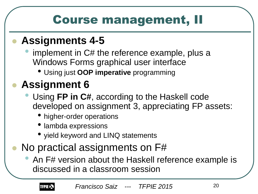## Course management, II

#### **Assignments 4-5**

- implement in C# the reference example, plus a Windows Forms graphical user interface
	- Using just **OOP imperative** programming

### **Assignment 6**

- Using **FP in C#**, according to the Haskell code developed on assignment 3, appreciating FP assets:
	- higher-order operations
	- lambda expressions
	- yield keyword and LINQ statements
- No practical assignments on F#
	- An F# version about the Haskell reference example is discussed in a classroom session

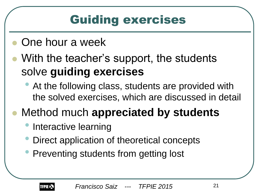## Guiding exercises

- One hour a week
- With the teacher's support, the students solve **guiding exercises**
	- At the following class, students are provided with the solved exercises, which are discussed in detail
- Method much **appreciated by students**
	- Interactive learning
	- Direct application of theoretical concepts
	- Preventing students from getting lost

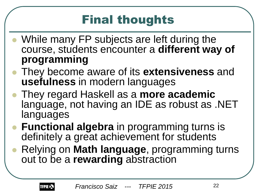## Final thoughts

- While many FP subjects are left during the course, students encounter a **different way of programming**
- They become aware of its **extensiveness** and **usefulness** in modern languages
- They regard Haskell as a **more academic**  language, not having an IDE as robust as .NET languages
- **Functional algebra** in programming turns is definitely a great achievement for students
- Relying on **Math language**, programming turns out to be a **rewarding** abstraction